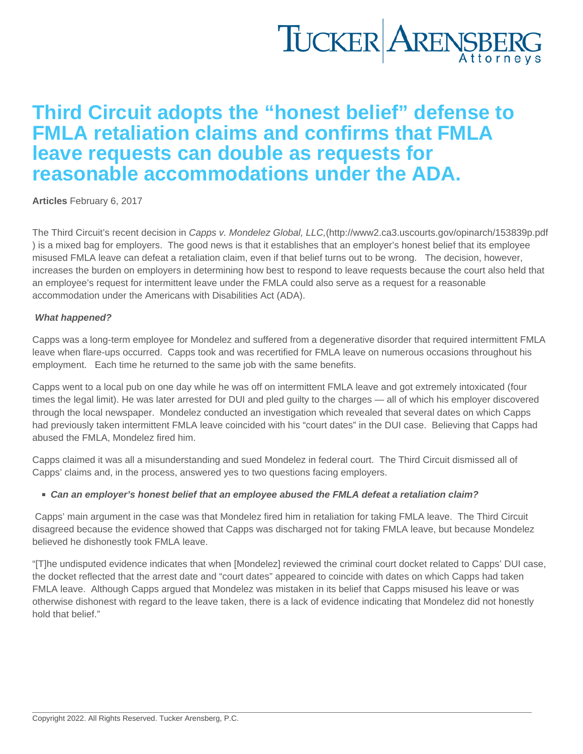## Third Circuit adopts the "honest belief" defense to FMLA retaliation claims and confirms that FMLA leave requests can double as requests for reasonable accommodations under the ADA.

[Articles](https://www.tuckerlaw.com/category/articles/) February 6, 2017

The Third Circuit's recent decision in Capps v. Mondelez Global, LLC,(<http://www2.ca3.uscourts.gov/opinarch/153839p.pdf> ) is a mixed bag for employers. The good news is that it establishes that an employer's honest belief that its employee misused FMLA leave can defeat a retaliation claim, even if that belief turns out to be wrong. The decision, however, increases the burden on employers in determining how best to respond to leave requests because the court also held that an employee's request for intermittent leave under the FMLA could also serve as a request for a reasonable accommodation under the Americans with Disabilities Act (ADA).

## What happened?

Capps was a long-term employee for Mondelez and suffered from a degenerative disorder that required intermittent FMLA leave when flare-ups occurred. Capps took and was recertified for FMLA leave on numerous occasions throughout his employment. Each time he returned to the same job with the same benefits.

Capps went to a local pub on one day while he was off on intermittent FMLA leave and got extremely intoxicated (four times the legal limit). He was later arrested for DUI and pled guilty to the charges — all of which his employer discovered through the local newspaper. Mondelez conducted an investigation which revealed that several dates on which Capps had previously taken intermittent FMLA leave coincided with his "court dates" in the DUI case. Believing that Capps had abused the FMLA, Mondelez fired him.

Capps claimed it was all a misunderstanding and sued Mondelez in federal court. The Third Circuit dismissed all of Capps' claims and, in the process, answered yes to two questions facing employers.

Can an employer's honest belief that an employee abused the FMLA defeat a retaliation claim?

Capps' main argument in the case was that Mondelez fired him in retaliation for taking FMLA leave. The Third Circuit disagreed because the evidence showed that Capps was discharged not for taking FMLA leave, but because Mondelez believed he dishonestly took FMLA leave.

"[T]he undisputed evidence indicates that when [Mondelez] reviewed the criminal court docket related to Capps' DUI case, the docket reflected that the arrest date and "court dates" appeared to coincide with dates on which Capps had taken FMLA leave. Although Capps argued that Mondelez was mistaken in its belief that Capps misused his leave or was otherwise dishonest with regard to the leave taken, there is a lack of evidence indicating that Mondelez did not honestly hold that belief."